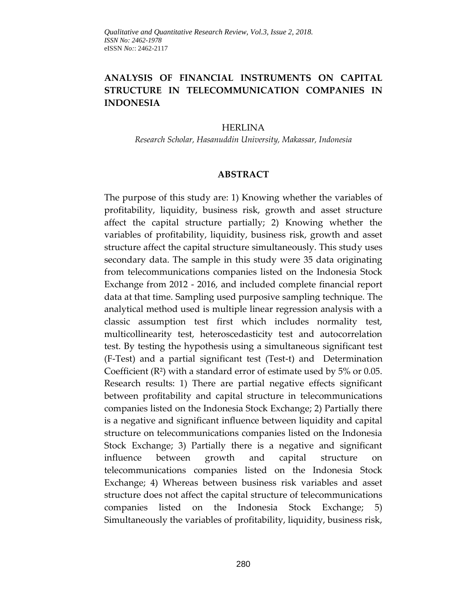# **ANALYSIS OF FINANCIAL INSTRUMENTS ON CAPITAL STRUCTURE IN TELECOMMUNICATION COMPANIES IN INDONESIA**

#### HERLINA

*Research Scholar, Hasanuddin University, Makassar, Indonesia*

#### **ABSTRACT**

The purpose of this study are: 1) Knowing whether the variables of profitability, liquidity, business risk, growth and asset structure affect the capital structure partially; 2) Knowing whether the variables of profitability, liquidity, business risk, growth and asset structure affect the capital structure simultaneously. This study uses secondary data. The sample in this study were 35 data originating from telecommunications companies listed on the Indonesia Stock Exchange from 2012 - 2016, and included complete financial report data at that time. Sampling used purposive sampling technique. The analytical method used is multiple linear regression analysis with a classic assumption test first which includes normality test, multicollinearity test, heteroscedasticity test and autocorrelation test. By testing the hypothesis using a simultaneous significant test (F-Test) and a partial significant test (Test-t) and Determination Coefficient (R²) with a standard error of estimate used by 5% or 0.05. Research results: 1) There are partial negative effects significant between profitability and capital structure in telecommunications companies listed on the Indonesia Stock Exchange; 2) Partially there is a negative and significant influence between liquidity and capital structure on telecommunications companies listed on the Indonesia Stock Exchange; 3) Partially there is a negative and significant influence between growth and capital structure on telecommunications companies listed on the Indonesia Stock Exchange; 4) Whereas between business risk variables and asset structure does not affect the capital structure of telecommunications companies listed on the Indonesia Stock Exchange; 5) Simultaneously the variables of profitability, liquidity, business risk,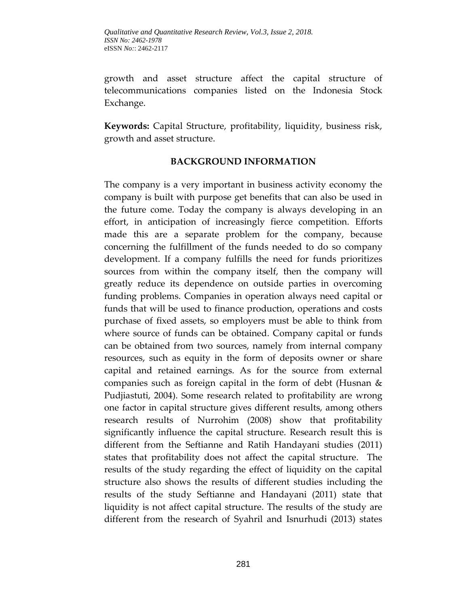growth and asset structure affect the capital structure of telecommunications companies listed on the Indonesia Stock Exchange.

**Keywords:** Capital Structure, profitability, liquidity, business risk, growth and asset structure.

### **BACKGROUND INFORMATION**

The company is a very important in business activity economy the company is built with purpose get benefits that can also be used in the future come. Today the company is always developing in an effort, in anticipation of increasingly fierce competition. Efforts made this are a separate problem for the company, because concerning the fulfillment of the funds needed to do so company development. If a company fulfills the need for funds prioritizes sources from within the company itself, then the company will greatly reduce its dependence on outside parties in overcoming funding problems. Companies in operation always need capital or funds that will be used to finance production, operations and costs purchase of fixed assets, so employers must be able to think from where source of funds can be obtained. Company capital or funds can be obtained from two sources, namely from internal company resources, such as equity in the form of deposits owner or share capital and retained earnings. As for the source from external companies such as foreign capital in the form of debt (Husnan & Pudjiastuti, 2004). Some research related to profitability are wrong one factor in capital structure gives different results, among others research results of Nurrohim (2008) show that profitability significantly influence the capital structure. Research result this is different from the Seftianne and Ratih Handayani studies (2011) states that profitability does not affect the capital structure. The results of the study regarding the effect of liquidity on the capital structure also shows the results of different studies including the results of the study Seftianne and Handayani (2011) state that liquidity is not affect capital structure. The results of the study are different from the research of Syahril and Isnurhudi (2013) states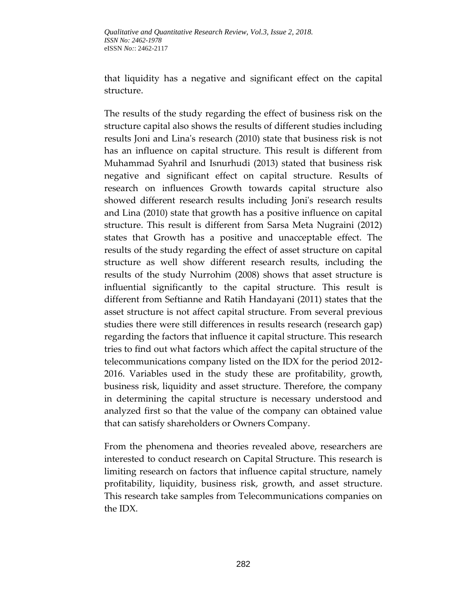that liquidity has a negative and significant effect on the capital structure.

The results of the study regarding the effect of business risk on the structure capital also shows the results of different studies including results Joni and Lina's research (2010) state that business risk is not has an influence on capital structure. This result is different from Muhammad Syahril and Isnurhudi (2013) stated that business risk negative and significant effect on capital structure. Results of research on influences Growth towards capital structure also showed different research results including Joni's research results and Lina (2010) state that growth has a positive influence on capital structure. This result is different from Sarsa Meta Nugraini (2012) states that Growth has a positive and unacceptable effect. The results of the study regarding the effect of asset structure on capital structure as well show different research results, including the results of the study Nurrohim (2008) shows that asset structure is influential significantly to the capital structure. This result is different from Seftianne and Ratih Handayani (2011) states that the asset structure is not affect capital structure. From several previous studies there were still differences in results research (research gap) regarding the factors that influence it capital structure. This research tries to find out what factors which affect the capital structure of the telecommunications company listed on the IDX for the period 2012- 2016. Variables used in the study these are profitability, growth, business risk, liquidity and asset structure. Therefore, the company in determining the capital structure is necessary understood and analyzed first so that the value of the company can obtained value that can satisfy shareholders or Owners Company.

From the phenomena and theories revealed above, researchers are interested to conduct research on Capital Structure. This research is limiting research on factors that influence capital structure, namely profitability, liquidity, business risk, growth, and asset structure. This research take samples from Telecommunications companies on the IDX.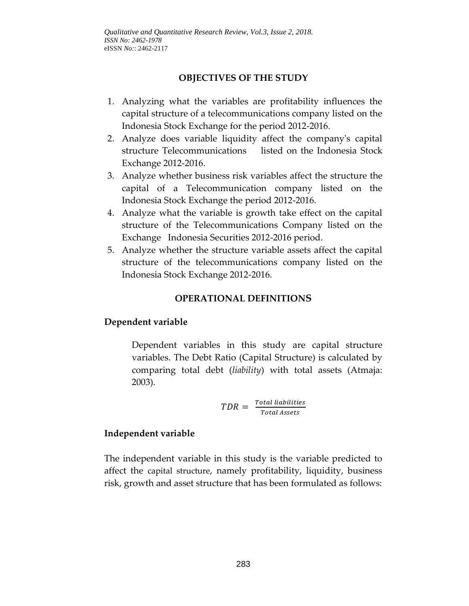## **OBJECTIVES OF THE STUDY**

- 1. Analyzing what the variables are profitability influences the capital structure of a telecommunications company listed on the Indonesia Stock Exchange for the period 2012-2016.
- 2. Analyze does variable liquidity affect the company's capital structure Telecommunications listed on the Indonesia Stock Exchange 2012-2016.
- 3. Analyze whether business risk variables affect the structure the capital of a Telecommunication company listed on the Indonesia Stock Exchange the period 2012-2016.
- 4. Analyze what the variable is growth take effect on the capital structure of the Telecommunications Company listed on the Exchange Indonesia Securities 2012-2016 period.
- 5. Analyze whether the structure variable assets affect the capital structure of the telecommunications company listed on the Indonesia Stock Exchange 2012-2016.

## **OPERATIONAL DEFINITIONS**

## **Dependent variable**

Dependent variables in this study are capital structure variables. The Debt Ratio (Capital Structure) is calculated by comparing total debt (*liability*) with total assets (Atmaja: 2003).

$$
TDR = \frac{Total\ liabilities}{Total\ Assets}
$$

## **Independent variable**

The independent variable in this study is the variable predicted to affect the capital structure, namely profitability, liquidity, business risk, growth and asset structure that has been formulated as follows: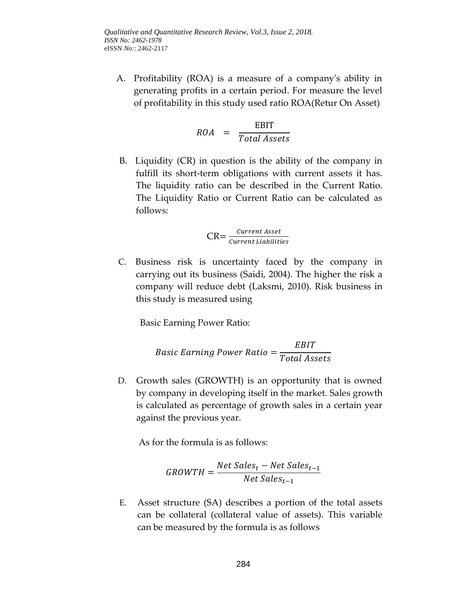A. Profitability (ROA) is a measure of a company's ability in generating profits in a certain period. For measure the level of profitability in this study used ratio ROA(Retur On Asset)

$$
ROA = \frac{EBIT}{Total Assets}
$$

B. Liquidity (CR) in question is the ability of the company in fulfill its short-term obligations with current assets it has. The liquidity ratio can be described in the Current Ratio. The Liquidity Ratio or Current Ratio can be calculated as follows:

$$
CR = \frac{Current\, \textit{asset}}{Current\, \textit{Liabilities}}
$$

C. Business risk is uncertainty faced by the company in carrying out its business (Saidi, 2004). The higher the risk a company will reduce debt (Laksmi, 2010). Risk business in this study is measured using

Basic Earning Power Ratio:

$$
Basic\ Earning\ Power\ Ratio = \frac{EBIT}{Total\ Assets}
$$

D. Growth sales (GROWTH) is an opportunity that is owned by company in developing itself in the market. Sales growth is calculated as percentage of growth sales in a certain year against the previous year.

As for the formula is as follows:

$$
GROWTH = \frac{Net Sales_t - Net Sales_{t-1}}{Net Sales_{t-1}}
$$

E. Asset structure (SA) describes a portion of the total assets can be collateral (collateral value of assets). This variable can be measured by the formula is as follows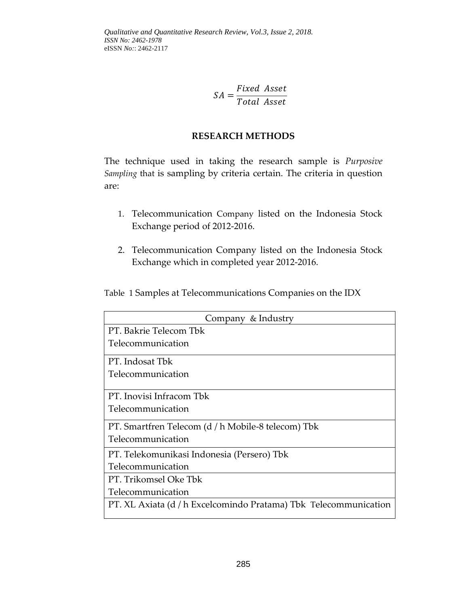$\mathcal{S}_{0}^{(n)}$ F  $\overline{T}$ 

### **RESEARCH METHODS**

The technique used in taking the research sample is *Purposive Sampling* that is sampling by criteria certain. The criteria in question are:

- 1. Telecommunication Company listed on the Indonesia Stock Exchange period of 2012-2016.
- 2. Telecommunication Company listed on the Indonesia Stock Exchange which in completed year 2012-2016.

Table 1 Samples at Telecommunications Companies on the IDX

| Company & Industry                                               |  |  |  |
|------------------------------------------------------------------|--|--|--|
| PT. Bakrie Telecom Tbk                                           |  |  |  |
| Telecommunication                                                |  |  |  |
| PT. Indosat Tbk                                                  |  |  |  |
| Telecommunication                                                |  |  |  |
|                                                                  |  |  |  |
| PT. Inovisi Infracom Tbk                                         |  |  |  |
| Telecommunication                                                |  |  |  |
| PT. Smartfren Telecom (d / h Mobile-8 telecom) Tbk               |  |  |  |
| Telecommunication                                                |  |  |  |
| PT. Telekomunikasi Indonesia (Persero) Tbk                       |  |  |  |
| Telecommunication                                                |  |  |  |
| PT. Trikomsel Oke Tbk                                            |  |  |  |
| Telecommunication                                                |  |  |  |
| PT. XL Axiata (d / h Excelcomindo Pratama) Tbk Telecommunication |  |  |  |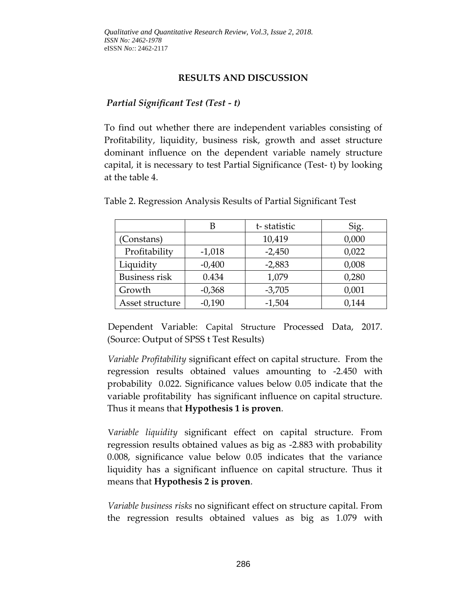## **RESULTS AND DISCUSSION**

#### *Partial Significant Test (Test - t)*

To find out whether there are independent variables consisting of Profitability, liquidity, business risk, growth and asset structure dominant influence on the dependent variable namely structure capital, it is necessary to test Partial Significance (Test- t) by looking at the table 4.

|                 | В        | t-statistic | Sig.  |
|-----------------|----------|-------------|-------|
| (Constans)      |          | 10,419      | 0,000 |
| Profitability   | $-1,018$ | $-2,450$    | 0,022 |
| Liquidity       | $-0,400$ | $-2,883$    | 0,008 |
| Business risk   | 0.434    | 1,079       | 0,280 |
| Growth          | $-0,368$ | $-3,705$    | 0,001 |
| Asset structure | $-0,190$ | $-1,504$    | 0,144 |

Table 2. Regression Analysis Results of Partial Significant Test

Dependent Variable: Capital Structure Processed Data, 2017. (Source: Output of SPSS t Test Results) Ĩ

*Variable Profitability* significant effect on capital structure. From the regression results obtained values amounting to -2.450 with probability 0.022. Significance values below 0.05 indicate that the variable profitability has significant influence on capital structure. Thus it means that **Hypothesis 1 is proven**.

V*ariable liquidity* significant effect on capital structure. From regression results obtained values as big as -2.883 with probability 0.008, significance value below 0.05 indicates that the variance liquidity has a significant influence on capital structure. Thus it means that **Hypothesis 2 is proven**.

*Variable business risks* no significant effect on structure capital. From the regression results obtained values as big as 1.079 with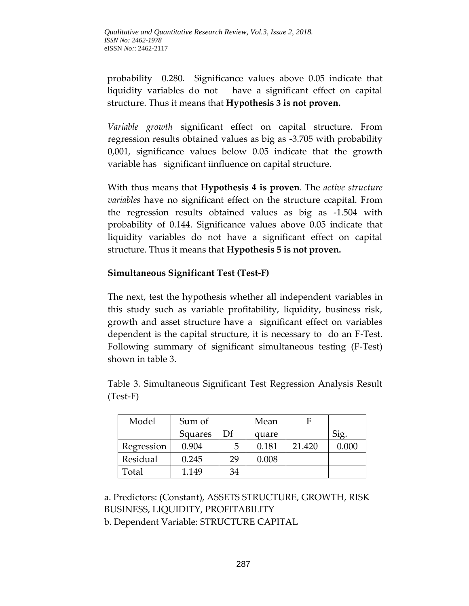probability 0.280. Significance values above 0.05 indicate that liquidity variables do not have a significant effect on capital structure. Thus it means that **Hypothesis 3 is not proven.**

*Variable growth* significant effect on capital structure. From regression results obtained values as big as -3.705 with probability 0,001, significance values below 0.05 indicate that the growth variable has significant iinfluence on capital structure.

With thus means that **Hypothesis 4 is proven**. The *active structure variables* have no significant effect on the structure ccapital. From the regression results obtained values as big as -1.504 with probability of 0.144. Significance values above 0.05 indicate that liquidity variables do not have a significant effect on capital structure. Thus it means that **Hypothesis 5 is not proven.**

## **Simultaneous Significant Test (Test-F)**

The next, test the hypothesis whether all independent variables in this study such as variable profitability, liquidity, business risk, growth and asset structure have a significant effect on variables dependent is the capital structure, it is necessary to do an F-Test. Following summary of significant simultaneous testing (F-Test) shown in table 3.

| Model      | Sum of  |    | Mean  | F      |       |
|------------|---------|----|-------|--------|-------|
|            | Squares | Df | quare |        |       |
| Regression | 0.904   | 5  | 0.181 | 21.420 | 0.000 |
| Residual   | 0.245   | 29 | 0.008 |        |       |
| Total      | 1.149   | 34 |       |        |       |

Table 3. Simultaneous Significant Test Regression Analysis Result (Test-F)

a. Predictors: (Constant), ASSETS STRUCTURE, GROWTH, RISK BUSINESS, LIQUIDITY, PROFITABILITY b. Dependent Variable: STRUCTURE CAPITAL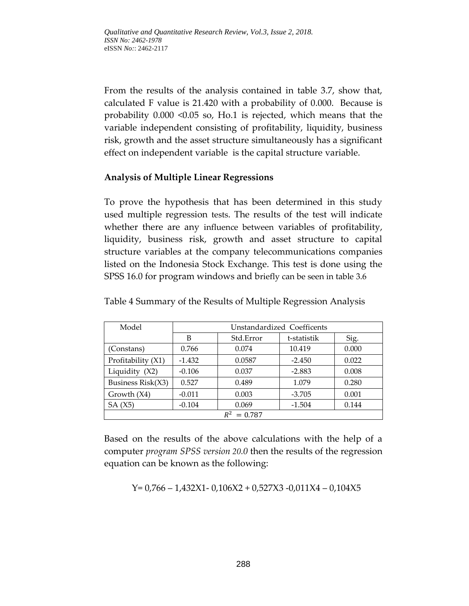From the results of the analysis contained in table 3.7, show that, calculated F value is 21.420 with a probability of 0.000. Because is probability 0.000 <0.05 so, Ho.1 is rejected, which means that the variable independent consisting of profitability, liquidity, business risk, growth and the asset structure simultaneously has a significant effect on independent variable is the capital structure variable.

## **Analysis of Multiple Linear Regressions**

To prove the hypothesis that has been determined in this study used multiple regression tests. The results of the test will indicate whether there are any influence between variables of profitability, liquidity, business risk, growth and asset structure to capital structure variables at the company telecommunications companies listed on the Indonesia Stock Exchange. This test is done using the SPSS 16.0 for program windows and briefly can be seen in table 3.6

| Model              | Unstandardized Coefficents |           |             |       |  |  |
|--------------------|----------------------------|-----------|-------------|-------|--|--|
|                    | В                          | Std.Error | t-statistik | Sig.  |  |  |
| (Constans)         | 0.766                      | 0.074     | 10.419      | 0.000 |  |  |
| Profitability (X1) | $-1.432$                   | 0.0587    | $-2.450$    | 0.022 |  |  |
| Liquidity (X2)     | $-0.106$                   | 0.037     | $-2.883$    | 0.008 |  |  |
| Business Risk(X3)  | 0.527                      | 0.489     | 1.079       | 0.280 |  |  |
| Growth $(X4)$      | $-0.011$                   | 0.003     | $-3.705$    | 0.001 |  |  |
| SA(X5)             | $-0.104$                   | 0.069     | $-1.504$    | 0.144 |  |  |
| $R^2$<br>$= 0.787$ |                            |           |             |       |  |  |

Table 4 Summary of the Results of Multiple Regression Analysis

Based on the results of the above calculations with the help of a computer *program SPSS version 20.0* then the results of the regression equation can be known as the following:

$$
Y=0,766-1,432X1-0,106X2+0,527X3-0,011X4-0,104X5
$$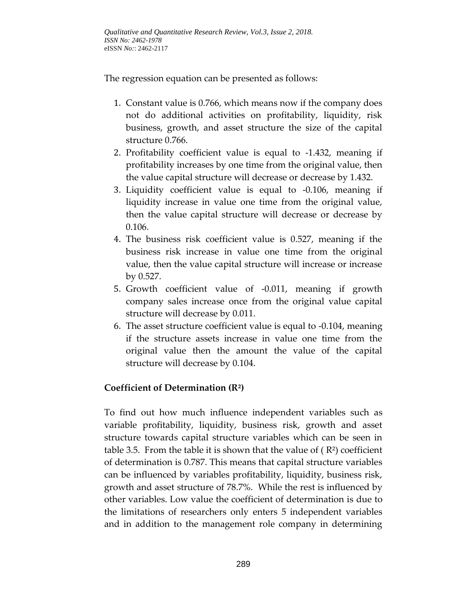The regression equation can be presented as follows:

- 1. Constant value is 0.766, which means now if the company does not do additional activities on profitability, liquidity, risk business, growth, and asset structure the size of the capital structure 0.766.
- 2. Profitability coefficient value is equal to -1.432, meaning if profitability increases by one time from the original value, then the value capital structure will decrease or decrease by 1.432.
- 3. Liquidity coefficient value is equal to -0.106, meaning if liquidity increase in value one time from the original value, then the value capital structure will decrease or decrease by 0.106.
- 4. The business risk coefficient value is 0.527, meaning if the business risk increase in value one time from the original value, then the value capital structure will increase or increase by 0.527.
- 5. Growth coefficient value of -0.011, meaning if growth company sales increase once from the original value capital structure will decrease by 0.011.
- 6. The asset structure coefficient value is equal to -0.104, meaning if the structure assets increase in value one time from the original value then the amount the value of the capital structure will decrease by 0.104.

# **Coefficient of Determination (R²)**

To find out how much influence independent variables such as variable profitability, liquidity, business risk, growth and asset structure towards capital structure variables which can be seen in table 3.5. From the table it is shown that the value of  $(R<sup>2</sup>)$  coefficient of determination is 0.787. This means that capital structure variables can be influenced by variables profitability, liquidity, business risk, growth and asset structure of 78.7%. While the rest is influenced by other variables. Low value the coefficient of determination is due to the limitations of researchers only enters 5 independent variables and in addition to the management role company in determining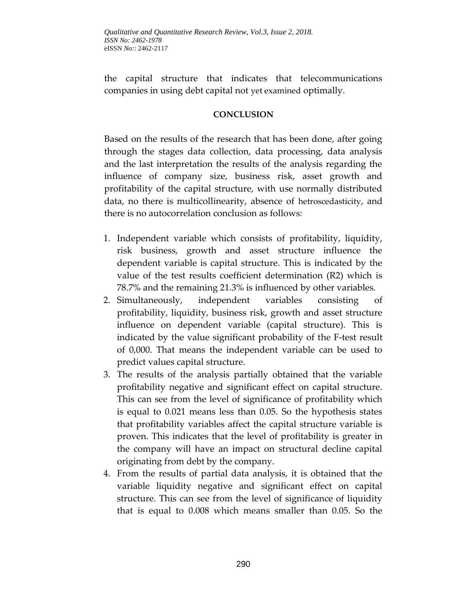the capital structure that indicates that telecommunications companies in using debt capital not yet examined optimally.

### **CONCLUSION**

Based on the results of the research that has been done, after going through the stages data collection, data processing, data analysis and the last interpretation the results of the analysis regarding the influence of company size, business risk, asset growth and profitability of the capital structure, with use normally distributed data, no there is multicollinearity, absence of hetroscedasticity, and there is no autocorrelation conclusion as follows:

- 1. Independent variable which consists of profitability, liquidity, risk business, growth and asset structure influence the dependent variable is capital structure. This is indicated by the value of the test results coefficient determination (R2) which is 78.7% and the remaining 21.3% is influenced by other variables.
- 2. Simultaneously, independent variables consisting of profitability, liquidity, business risk, growth and asset structure influence on dependent variable (capital structure). This is indicated by the value significant probability of the F-test result of 0,000. That means the independent variable can be used to predict values capital structure.
- 3. The results of the analysis partially obtained that the variable profitability negative and significant effect on capital structure. This can see from the level of significance of profitability which is equal to 0.021 means less than 0.05. So the hypothesis states that profitability variables affect the capital structure variable is proven. This indicates that the level of profitability is greater in the company will have an impact on structural decline capital originating from debt by the company.
- 4. From the results of partial data analysis, it is obtained that the variable liquidity negative and significant effect on capital structure. This can see from the level of significance of liquidity that is equal to 0.008 which means smaller than 0.05. So the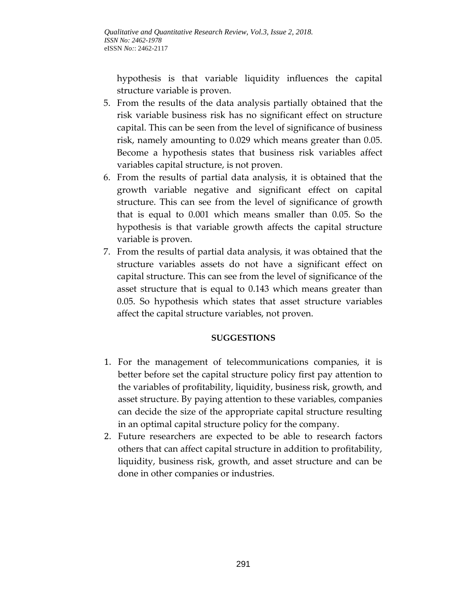hypothesis is that variable liquidity influences the capital structure variable is proven.

- 5. From the results of the data analysis partially obtained that the risk variable business risk has no significant effect on structure capital. This can be seen from the level of significance of business risk, namely amounting to 0.029 which means greater than 0.05. Become a hypothesis states that business risk variables affect variables capital structure, is not proven.
- 6. From the results of partial data analysis, it is obtained that the growth variable negative and significant effect on capital structure. This can see from the level of significance of growth that is equal to 0.001 which means smaller than 0.05. So the hypothesis is that variable growth affects the capital structure variable is proven.
- 7. From the results of partial data analysis, it was obtained that the structure variables assets do not have a significant effect on capital structure. This can see from the level of significance of the asset structure that is equal to 0.143 which means greater than 0.05. So hypothesis which states that asset structure variables affect the capital structure variables, not proven.

#### **SUGGESTIONS**

- 1. For the management of telecommunications companies, it is better before set the capital structure policy first pay attention to the variables of profitability, liquidity, business risk, growth, and asset structure. By paying attention to these variables, companies can decide the size of the appropriate capital structure resulting in an optimal capital structure policy for the company.
- 2. Future researchers are expected to be able to research factors others that can affect capital structure in addition to profitability, liquidity, business risk, growth, and asset structure and can be done in other companies or industries.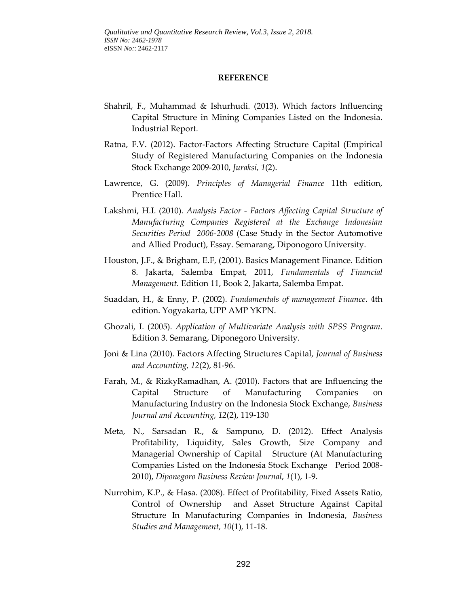#### **REFERENCE**

- Shahril, F., Muhammad & Ishurhudi. (2013). Which factors Influencing Capital Structure in Mining Companies Listed on the Indonesia. Industrial Report.
- Ratna, F.V. (2012). Factor-Factors Affecting Structure Capital (Empirical Study of Registered Manufacturing Companies on the Indonesia Stock Exchange 2009-2010, *Juraksi, 1*(2).
- Lawrence, G. (2009). *Principles of Managerial Finance* 11th edition, Prentice Hall.
- Lakshmi, H.I. (2010). *Analysis Factor - Factors Affecting Capital Structure of Manufacturing Companies Registered at the Exchange Indonesian Securities Period 2006-2008* (Case Study in the Sector Automotive and Allied Product), Essay. Semarang, Diponogoro University.
- Houston, J.F., & Brigham, E.F, (2001). Basics Management Finance. Edition 8. Jakarta, Salemba Empat, 2011, *Fundamentals of Financial Management.* Edition 11, Book 2, Jakarta, Salemba Empat.
- Suaddan, H., & Enny, P. (2002). *Fundamentals of management Finance*. 4th edition. Yogyakarta, UPP AMP YKPN.
- Ghozali, I. (2005). *Application of Multivariate Analysis with SPSS Program*. Edition 3. Semarang, Diponegoro University.
- Joni & Lina (2010). Factors Affecting Structures Capital, *Journal of Business and Accounting, 12*(2), 81-96.
- Farah, M., & RizkyRamadhan, A. (2010). Factors that are Influencing the Capital Structure of Manufacturing Companies on Manufacturing Industry on the Indonesia Stock Exchange, *Business Journal and Accounting, 12*(2), 119-130
- Meta, N., Sarsadan R., & Sampuno, D. (2012). Effect Analysis Profitability, Liquidity, Sales Growth, Size Company and Managerial Ownership of Capital Structure (At Manufacturing Companies Listed on the Indonesia Stock Exchange Period 2008- 2010), *Diponegoro Business Review Journal*, *1*(1), 1-9.
- Nurrohim, K.P., & Hasa. (2008). Effect of Profitability, Fixed Assets Ratio, Control of Ownership and Asset Structure Against Capital Structure In Manufacturing Companies in Indonesia, *Business Studies and Management, 10*(1), 11-18.